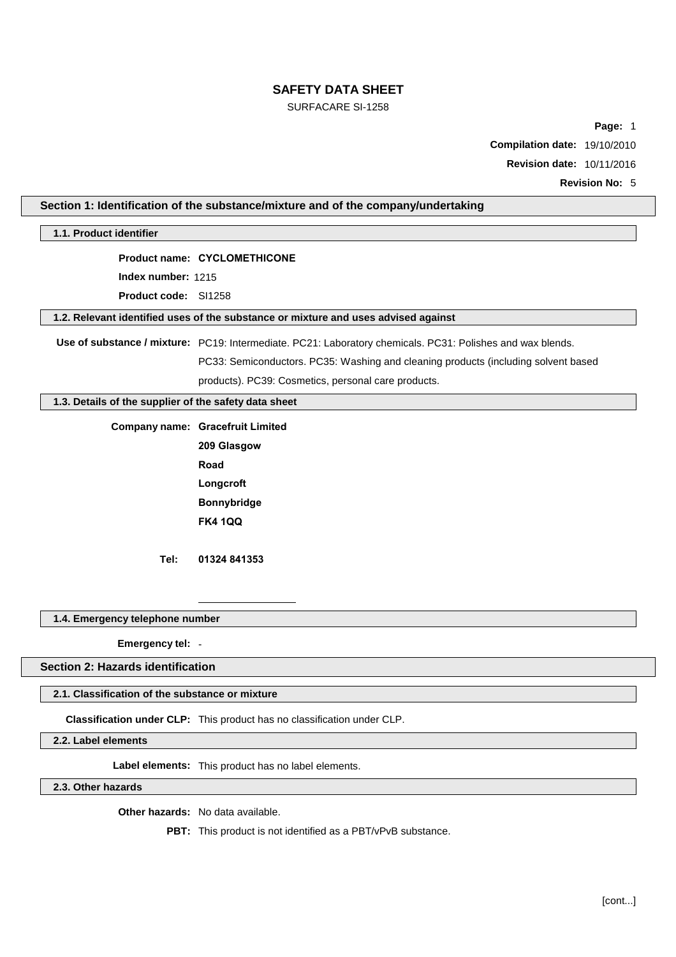## SURFACARE SI-1258

**Page:** 1

**Compilation date:** 19/10/2010

**Revision date:** 10/11/2016

## **Section 1: Identification of the substance/mixture and of the company/undertaking**

## **1.1. Product identifier**

**Product name: CYCLOMETHICONE Index number:** 1215 **Product code:** SI1258

### **1.2. Relevant identified uses of the substance or mixture and uses advised against**

**Use of substance / mixture:** PC19: Intermediate. PC21: Laboratory chemicals. PC31: Polishes and wax blends. PC33: Semiconductors. PC35: Washing and cleaning products (including solvent based products). PC39: Cosmetics, personal care products.

## **1.3. Details of the supplier of the safety data sheet**

**Company name: Gracefruit Limited 209 Glasgow Road Longcroft Bonnybridge FK4 1QQ**

**Tel: 01324 841353**

## **1.4. Emergency telephone number**

**Emergency tel:** -

## **Section 2: Hazards identification**

### **2.1. Classification of the substance or mixture**

**Classification under CLP:** This product has no classification under CLP.

**2.2. Label elements**

**Label elements:** This product has no label elements.

### **2.3. Other hazards**

**Other hazards:** No data available.

**PBT:** This product is not identified as a PBT/vPvB substance.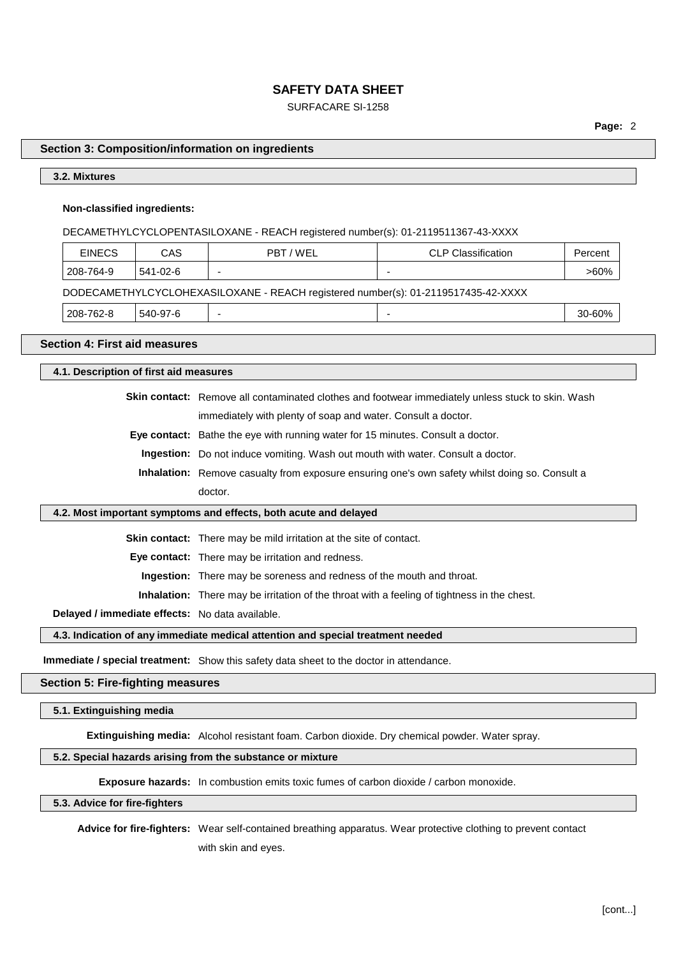## SURFACARE SI-1258

**Page:** 2

## **Section 3: Composition/information on ingredients**

## **3.2. Mixtures**

## **Non-classified ingredients:**

DECAMETHYLCYCLOPENTASILOXANE - REACH registered number(s): 01-2119511367-43-XXXX

| <b>EINECS</b>                                                                     | CAS      | PBT/WEL | CLP Classification | Percent |
|-----------------------------------------------------------------------------------|----------|---------|--------------------|---------|
| 208-764-9                                                                         | 541-02-6 |         |                    | >60%    |
| DODECAMETHYLCYCLOHEXASILOXANE - REACH registered number(s): 01-2119517435-42-XXXX |          |         |                    |         |
| 208-762-8                                                                         | 540-97-6 | -       |                    | 30-60%  |

**Section 4: First aid measures**

**4.1. Description of first aid measures**

**Skin contact:** Remove all contaminated clothes and footwear immediately unless stuck to skin. Wash immediately with plenty of soap and water. Consult a doctor.

**Eye contact:** Bathe the eye with running water for 15 minutes. Consult a doctor.

**Ingestion:** Do not induce vomiting. Wash out mouth with water. Consult a doctor.

**Inhalation:** Remove casualty from exposure ensuring one's own safety whilst doing so. Consult a

doctor.

#### **4.2. Most important symptoms and effects, both acute and delayed**

**Skin contact:** There may be mild irritation at the site of contact.

**Eye contact:** There may be irritation and redness.

**Ingestion:** There may be soreness and redness of the mouth and throat.

**Inhalation:** There may be irritation of the throat with a feeling of tightness in the chest.

**Delayed / immediate effects:** No data available.

**4.3. Indication of any immediate medical attention and special treatment needed**

**Immediate / special treatment:** Show this safety data sheet to the doctor in attendance.

## **Section 5: Fire-fighting measures**

#### **5.1. Extinguishing media**

**Extinguishing media:** Alcohol resistant foam. Carbon dioxide. Dry chemical powder. Water spray.

#### **5.2. Special hazards arising from the substance or mixture**

**Exposure hazards:** In combustion emits toxic fumes of carbon dioxide / carbon monoxide.

### **5.3. Advice for fire-fighters**

**Advice for fire-fighters:** Wear self-contained breathing apparatus. Wear protective clothing to prevent contact with skin and eyes.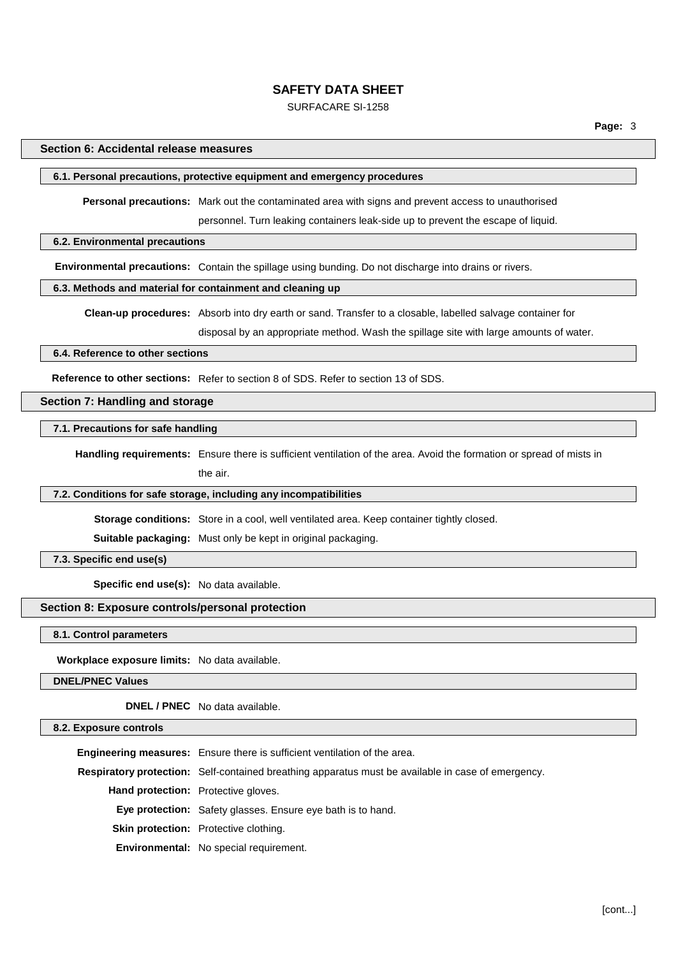## SURFACARE SI-1258

### **Section 6: Accidental release measures**

### **6.1. Personal precautions, protective equipment and emergency procedures**

**Personal precautions:** Mark out the contaminated area with signs and prevent access to unauthorised

personnel. Turn leaking containers leak-side up to prevent the escape of liquid.

## **6.2. Environmental precautions**

**Environmental precautions:** Contain the spillage using bunding. Do not discharge into drains or rivers.

## **6.3. Methods and material for containment and cleaning up**

**Clean-up procedures:** Absorb into dry earth or sand. Transfer to a closable, labelled salvage container for disposal by an appropriate method. Wash the spillage site with large amounts of water.

### **6.4. Reference to other sections**

**Reference to other sections:** Refer to section 8 of SDS. Refer to section 13 of SDS.

### **Section 7: Handling and storage**

### **7.1. Precautions for safe handling**

**Handling requirements:** Ensure there is sufficient ventilation of the area. Avoid the formation or spread of mists in the air.

#### **7.2. Conditions for safe storage, including any incompatibilities**

**Storage conditions:** Store in a cool, well ventilated area. Keep container tightly closed.

**Suitable packaging:** Must only be kept in original packaging.

### **7.3. Specific end use(s)**

**Specific end use(s):** No data available.

## **Section 8: Exposure controls/personal protection**

**8.1. Control parameters**

**Workplace exposure limits:** No data available.

**DNEL/PNEC Values**

**DNEL / PNEC** No data available.

## **8.2. Exposure controls**

**Engineering measures:** Ensure there is sufficient ventilation of the area. **Respiratory protection:** Self-contained breathing apparatus must be available in case of emergency. **Hand protection:** Protective gloves. **Eye protection:** Safety glasses. Ensure eye bath is to hand. **Skin protection:** Protective clothing. **Environmental:** No special requirement.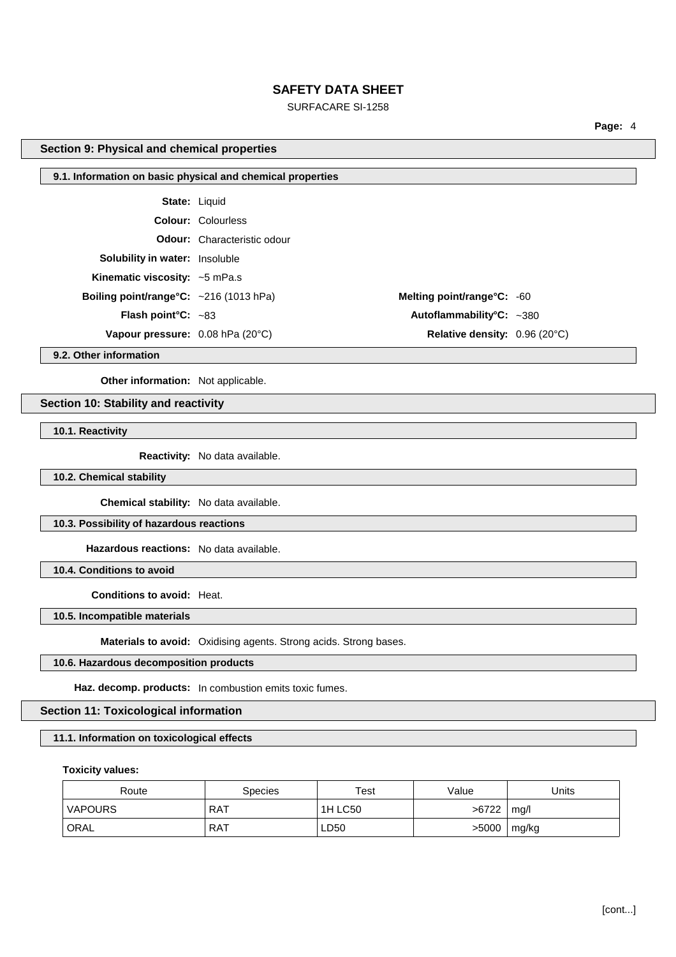## SURFACARE SI-1258

**Page:** 4

## **Section 9: Physical and chemical properties**

| 9.1. Information on basic physical and chemical properties |                                    |                                |  |
|------------------------------------------------------------|------------------------------------|--------------------------------|--|
| <b>State: Liquid</b>                                       |                                    |                                |  |
|                                                            | <b>Colour: Colourless</b>          |                                |  |
|                                                            | <b>Odour:</b> Characteristic odour |                                |  |
| <b>Solubility in water:</b> Insoluble                      |                                    |                                |  |
| Kinematic viscosity: $~5$ mPa.s                            |                                    |                                |  |
| Boiling point/range $^{\circ}$ C: ~216 (1013 hPa)          |                                    | Melting point/range°C: -60     |  |
| <b>Flash point °C:</b> $\sim 83$                           |                                    | Autoflammability°C: $\sim$ 380 |  |
| Vapour pressure: 0.08 hPa (20°C)                           |                                    | Relative density: 0.96 (20°C)  |  |

**9.2. Other information**

**Other information:** Not applicable.

# **Section 10: Stability and reactivity**

**10.1. Reactivity**

**Reactivity:** No data available.

**10.2. Chemical stability**

**Chemical stability:** No data available.

## **10.3. Possibility of hazardous reactions**

**Hazardous reactions:** No data available.

**10.4. Conditions to avoid**

**Conditions to avoid:** Heat.

**10.5. Incompatible materials**

**Materials to avoid:** Oxidising agents. Strong acids. Strong bases.

## **10.6. Hazardous decomposition products**

**Haz. decomp. products:** In combustion emits toxic fumes.

**Section 11: Toxicological information**

**11.1. Information on toxicological effects**

### **Toxicity values:**

| Route    | <b>Species</b> | $\tau_{\mathsf{est}}$ | Value | Units        |
|----------|----------------|-----------------------|-------|--------------|
| 'VAPOURS | <b>RAT</b>     | 1H LC50               | >6722 | mq/l         |
| ' ORAL   | <b>RAT</b>     | LD50                  | >5000 | $\mid$ mg/kg |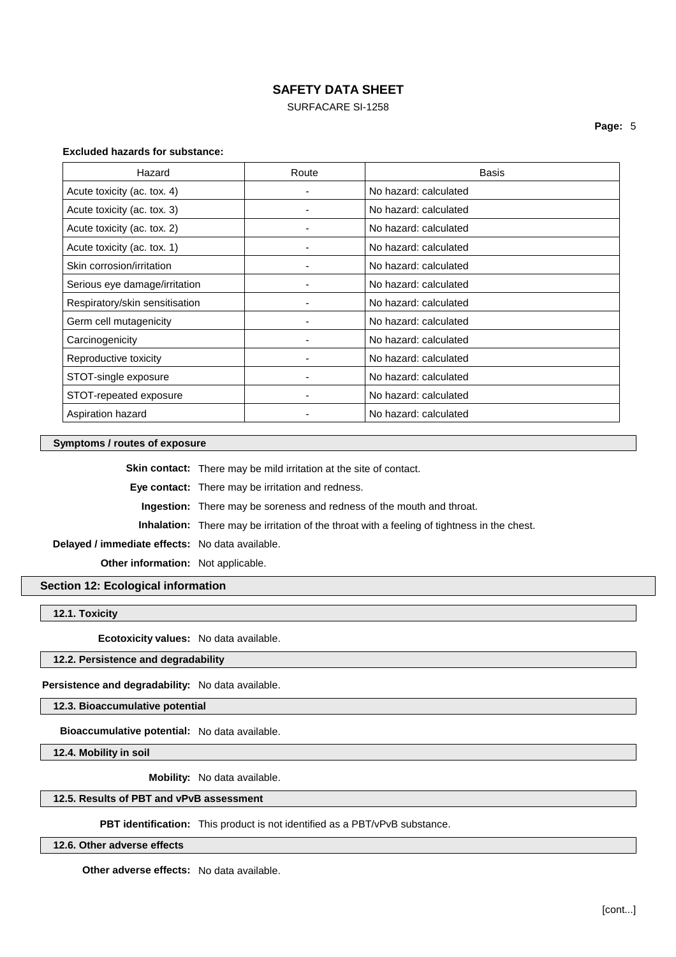## SURFACARE SI-1258

**Page:** 5

## **Excluded hazards for substance:**

| Hazard                         | Route | <b>Basis</b>          |
|--------------------------------|-------|-----------------------|
| Acute toxicity (ac. tox. 4)    |       | No hazard: calculated |
| Acute toxicity (ac. tox. 3)    |       | No hazard: calculated |
| Acute toxicity (ac. tox. 2)    |       | No hazard: calculated |
| Acute toxicity (ac. tox. 1)    |       | No hazard: calculated |
| Skin corrosion/irritation      |       | No hazard: calculated |
| Serious eye damage/irritation  |       | No hazard: calculated |
| Respiratory/skin sensitisation |       | No hazard: calculated |
| Germ cell mutagenicity         |       | No hazard: calculated |
| Carcinogenicity                |       | No hazard: calculated |
| Reproductive toxicity          |       | No hazard: calculated |
| STOT-single exposure           |       | No hazard: calculated |
| STOT-repeated exposure         |       | No hazard: calculated |
| Aspiration hazard              |       | No hazard: calculated |

#### **Symptoms / routes of exposure**

**Skin contact:** There may be mild irritation at the site of contact.

**Eye contact:** There may be irritation and redness.

**Ingestion:** There may be soreness and redness of the mouth and throat.

**Inhalation:** There may be irritation of the throat with a feeling of tightness in the chest.

**Delayed / immediate effects:** No data available.

**Other information:** Not applicable.

## **Section 12: Ecological information**

**12.1. Toxicity**

**Ecotoxicity values:** No data available.

## **12.2. Persistence and degradability**

**Persistence and degradability:** No data available.

**12.3. Bioaccumulative potential**

**Bioaccumulative potential:** No data available.

**12.4. Mobility in soil**

**Mobility:** No data available.

## **12.5. Results of PBT and vPvB assessment**

**PBT identification:** This product is not identified as a PBT/vPvB substance.

**12.6. Other adverse effects**

**Other adverse effects:** No data available.